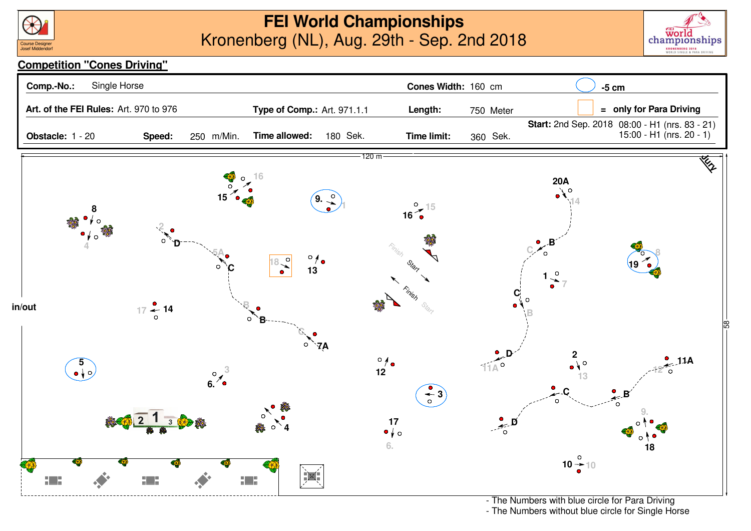



## **Competition "Cones Driving"**



- The Numbers without blue circle for Single Horse